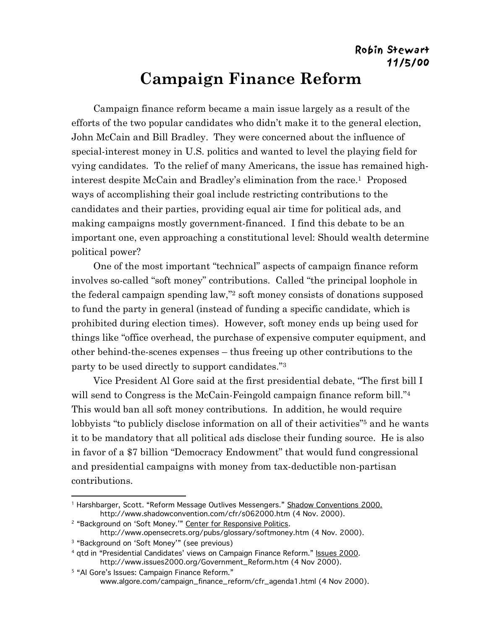Campaign finance reform became a main issue largely as a result of the efforts of the two popular candidates who didn't make it to the general election, John McCain and Bill Bradley. They were concerned about the influence of special-interest money in U.S. politics and wanted to level the playing field for vying candidates. To the relief of many Americans, the issue has remained highinterest despite McCain and Bradley's elimination from the race.1 Proposed ways of accomplishing their goal include restricting contributions to the candidates and their parties, providing equal air time for political ads, and making campaigns mostly government-financed. I find this debate to be an important one, even approaching a constitutional level: Should wealth determine political power?

One of the most important "technical" aspects of campaign finance reform involves so-called "soft money" contributions. Called "the principal loophole in the federal campaign spending law,"2 soft money consists of donations supposed to fund the party in general (instead of funding a specific candidate, which is prohibited during election times). However, soft money ends up being used for things like "office overhead, the purchase of expensive computer equipment, and other behind-the-scenes expenses – thus freeing up other contributions to the party to be used directly to support candidates."3

Vice President Al Gore said at the first presidential debate, "The first bill I will send to Congress is the McCain-Feingold campaign finance reform bill."<sup>4</sup> This would ban all soft money contributions. In addition, he would require lobbyists "to publicly disclose information on all of their activities"<sup>5</sup> and he wants it to be mandatory that all political ads disclose their funding source. He is also in favor of a \$7 billion "Democracy Endowment" that would fund congressional and presidential campaigns with money from tax-deductible non-partisan contributions.

<sup>&</sup>lt;sup>1</sup> Harshbarger, Scott. "Reform Message Outlives Messengers." Shadow Conventions 2000. http://www.shadowconvention.com/cfr/s062000.htm (4 Nov. 2000).

<sup>&</sup>lt;sup>2</sup> "Background on 'Soft Money.'" Center for Responsive Politics.

http://www.opensecrets.org/pubs/glossary/softmoney.htm (4 Nov. 2000).

<sup>3 &</sup>quot;Background on 'Soft Money'" (see previous)

<sup>&</sup>lt;sup>4</sup> qtd in "Presidential Candidates' views on Campaign Finance Reform." Issues 2000. http://www.issues2000.org/Government\_Reform.htm (4 Nov 2000).

<sup>&</sup>lt;sup>5</sup> "Al Gore's Issues: Campaign Finance Reform." www.algore.com/campaign\_finance\_reform/cfr\_agenda1.html (4 Nov 2000).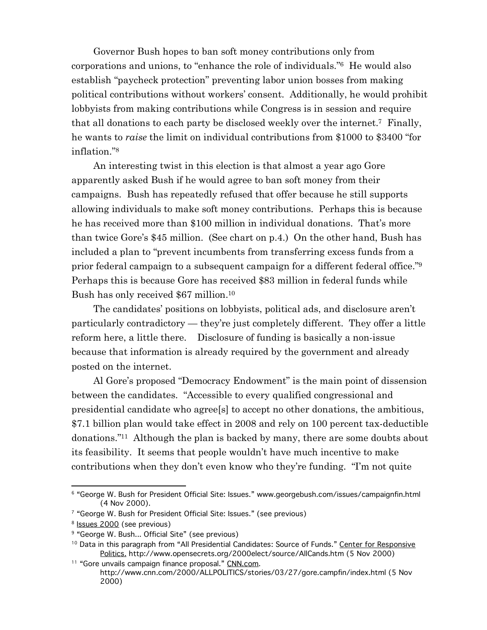Governor Bush hopes to ban soft money contributions only from corporations and unions, to "enhance the role of individuals."6 He would also establish "paycheck protection" preventing labor union bosses from making political contributions without workers' consent. Additionally, he would prohibit lobbyists from making contributions while Congress is in session and require that all donations to each party be disclosed weekly over the internet.7 Finally, he wants to *raise* the limit on individual contributions from \$1000 to \$3400 "for inflation."8

An interesting twist in this election is that almost a year ago Gore apparently asked Bush if he would agree to ban soft money from their campaigns. Bush has repeatedly refused that offer because he still supports allowing individuals to make soft money contributions. Perhaps this is because he has received more than \$100 million in individual donations. That's more than twice Gore's \$45 million. (See chart on p.4.) On the other hand, Bush has included a plan to "prevent incumbents from transferring excess funds from a prior federal campaign to a subsequent campaign for a different federal office."9 Perhaps this is because Gore has received \$83 million in federal funds while Bush has only received \$67 million.10

The candidates' positions on lobbyists, political ads, and disclosure aren't particularly contradictory — they're just completely different. They offer a little reform here, a little there. Disclosure of funding is basically a non-issue because that information is already required by the government and already posted on the internet.

Al Gore's proposed "Democracy Endowment" is the main point of dissension between the candidates. "Accessible to every qualified congressional and presidential candidate who agree[s] to accept no other donations, the ambitious, \$7.1 billion plan would take effect in 2008 and rely on 100 percent tax-deductible donations."11 Although the plan is backed by many, there are some doubts about its feasibility. It seems that people wouldn't have much incentive to make contributions when they don't even know who they're funding. "I'm not quite

 <sup>6 &</sup>quot;George W. Bush for President Official Site: Issues." www.georgebush.com/issues/campaignfin.html (4 Nov 2000).

<sup>7 &</sup>quot;George W. Bush for President Official Site: Issues." (see previous)

<sup>&</sup>lt;sup>8</sup> Issues 2000 (see previous)

<sup>&</sup>lt;sup>9</sup> "George W. Bush... Official Site" (see previous)

<sup>&</sup>lt;sup>10</sup> Data in this paragraph from "All Presidential Candidates: Source of Funds." Center for Responsive Politics. http://www.opensecrets.org/2000elect/source/AllCands.htm (5 Nov 2000)

<sup>&</sup>lt;sup>11</sup> "Gore unvails campaign finance proposal." CNN.com.

http://www.cnn.com/2000/ALLPOLITICS/stories/03/27/gore.campfin/index.html (5 Nov 2000)